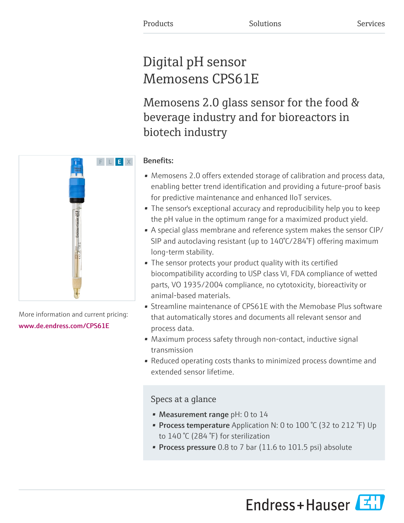# Digital pH sensor Memosens CPS61E

Memosens 2.0 glass sensor for the food & beverage industry and for bioreactors in biotech industry

# Benefits:

- Memosens 2.0 offers extended storage of calibration and process data, enabling better trend identification and providing a future-proof basis for predictive maintenance and enhanced IIoT services.
- The sensor's exceptional accuracy and reproducibility help you to keep the pH value in the optimum range for a maximized product yield.
- A special glass membrane and reference system makes the sensor CIP/ SIP and autoclaving resistant (up to 140°C/284°F) offering maximum long-term stability.
- The sensor protects your product quality with its certified biocompatibility according to USP class VI, FDA compliance of wetted parts, VO 1935/2004 compliance, no cytotoxicity, bioreactivity or animal-based materials.
- Streamline maintenance of CPS61E with the Memobase Plus software that automatically stores and documents all relevant sensor and process data.
- Maximum process safety through non-contact, inductive signal transmission
- Reduced operating costs thanks to minimized process downtime and extended sensor lifetime.

# Specs at a glance

- Measurement range pH: 0 to 14
- Process temperature Application N: 0 to 100 °C (32 to 212 °F) Up to 140 °C (284 °F) for sterilization
- Process pressure 0.8 to 7 bar (11.6 to 101.5 psi) absolute





More information and current pricing: [www.de.endress.com/CPS61E](https://www.de.endress.com/CPS61E)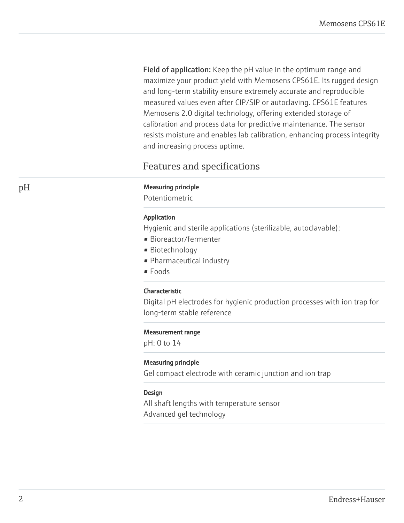Field of application: Keep the pH value in the optimum range and maximize your product yield with Memosens CPS61E. Its rugged design and long-term stability ensure extremely accurate and reproducible measured values even after CIP/SIP or autoclaving. CPS61E features Memosens 2.0 digital technology, offering extended storage of calibration and process data for predictive maintenance. The sensor resists moisture and enables lab calibration, enhancing process integrity and increasing process uptime.

# Features and specifications

#### pH Measuring principle

Potentiometric

#### Application

Hygienic and sterile applications (sterilizable, autoclavable):

- Bioreactor/fermenter
- Biotechnology
- Pharmaceutical industry
- Foods

#### Characteristic

Digital pH electrodes for hygienic production processes with ion trap for long-term stable reference

#### Measurement range

pH: 0 to 14

#### Measuring principle

Gel compact electrode with ceramic junction and ion trap

#### Design

All shaft lengths with temperature sensor Advanced gel technology